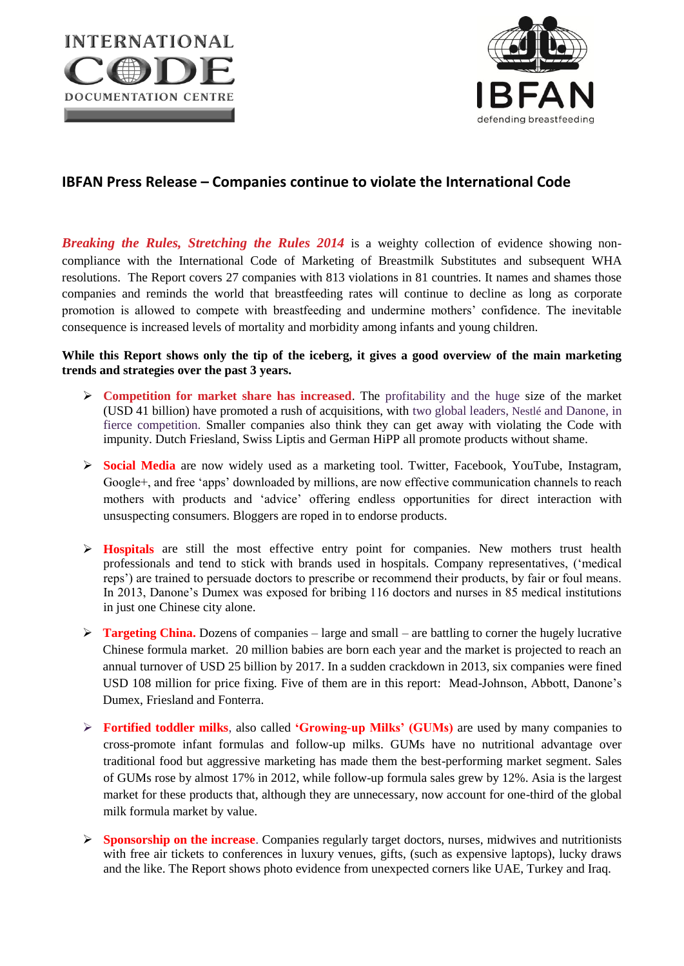



## **IBFAN Press Release – Companies continue to violate the International Code**

*Breaking the Rules, Stretching the Rules 2014* is a weighty collection of evidence showing noncompliance with the International Code of Marketing of Breastmilk Substitutes and subsequent WHA resolutions. The Report covers 27 companies with 813 violations in 81 countries. It names and shames those companies and reminds the world that breastfeeding rates will continue to decline as long as corporate promotion is allowed to compete with breastfeeding and undermine mothers' confidence. The inevitable consequence is increased levels of mortality and morbidity among infants and young children.

## **While this Report shows only the tip of the iceberg, it gives a good overview of the main marketing trends and strategies over the past 3 years.**

- **Competition for market share has increased.** The profitability and the huge size of the market (USD 41 billion) have promoted a rush of acquisitions, with two global leaders, Nestlé and Danone, in fierce competition. Smaller companies also think they can get away with violating the Code with impunity. Dutch Friesland, Swiss Liptis and German HiPP all promote products without shame.
- **Social Media** are now widely used as a marketing tool. Twitter, Facebook, YouTube, Instagram, Google+, and free 'apps' downloaded by millions, are now effective communication channels to reach mothers with products and 'advice' offering endless opportunities for direct interaction with unsuspecting consumers. Bloggers are roped in to endorse products.
- > **Hospitals** are still the most effective entry point for companies. New mothers trust health professionals and tend to stick with brands used in hospitals. Company representatives, ('medical reps') are trained to persuade doctors to prescribe or recommend their products, by fair or foul means. In 2013, Danone's Dumex was exposed for bribing 116 doctors and nurses in 85 medical institutions in just one Chinese city alone.
- **Targeting China.** Dozens of companies large and small are battling to corner the hugely lucrative Chinese formula market. 20 million babies are born each year and the market is projected to reach an annual turnover of USD 25 billion by 2017. In a sudden crackdown in 2013, six companies were fined USD 108 million for price fixing. Five of them are in this report: Mead-Johnson, Abbott, Danone's Dumex, Friesland and Fonterra.
- **Fortified toddler milks**, also called **'Growing-up Milks' (GUMs)** are used by many companies to cross-promote infant formulas and follow-up milks. GUMs have no nutritional advantage over traditional food but aggressive marketing has made them the best-performing market segment. Sales of GUMs rose by almost 17% in 2012, while follow-up formula sales grew by 12%. Asia is the largest market for these products that, although they are unnecessary, now account for one-third of the global milk formula market by value.
- **Sponsorship on the increase**. Companies regularly target doctors, nurses, midwives and nutritionists with free air tickets to conferences in luxury venues, gifts, (such as expensive laptops), lucky draws and the like. The Report shows photo evidence from unexpected corners like UAE, Turkey and Iraq.